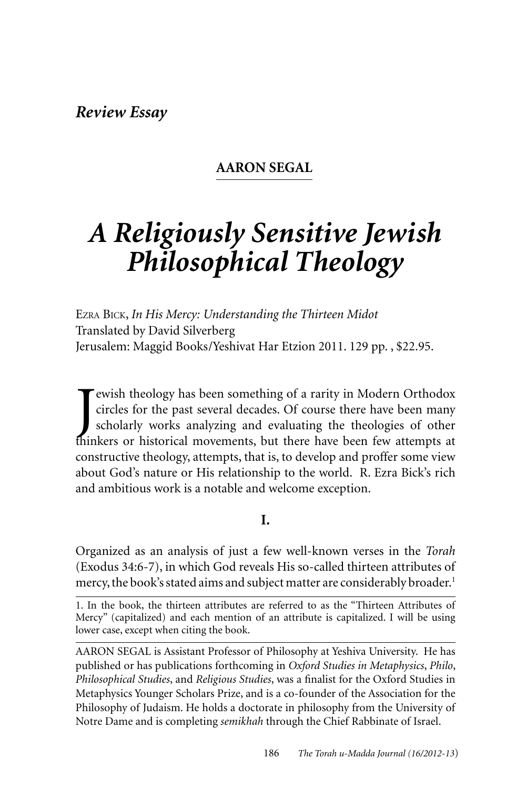*Review Essay*

## **Aaron Segal**

# *A Religiously Sensitive Jewish Philosophical Theology*

Ezra Bick, *In His Mercy: Understanding the Thirteen Midot* Translated by David Silverberg Jerusalem: Maggid Books/Yeshivat Har Etzion 2011. 129 pp. , \$22.95.

J<sub>thin</sub> Tewish theology has been something of a rarity in Modern Orthodox circles for the past several decades. Of course there have been many scholarly works analyzing and evaluating the theologies of other thinkers or historical movements, but there have been few attempts at constructive theology, attempts, that is, to develop and proffer some view about God's nature or His relationship to the world. R. Ezra Bick's rich and ambitious work is a notable and welcome exception.

### **I.**

Organized as an analysis of just a few well-known verses in the *Torah*  (Exodus 34:6-7), in which God reveals His so-called thirteen attributes of mercy, the book's stated aims and subject matter are considerably broader.<sup>1</sup>

1. In the book, the thirteen attributes are referred to as the "Thirteen Attributes of Mercy" (capitalized) and each mention of an attribute is capitalized. I will be using lower case, except when citing the book.

AARON SEGAL is Assistant Professor of Philosophy at Yeshiva University. He has published or has publications forthcoming in *Oxford Studies in Metaphysics*, *Philo*, *Philosophical Studies*, and *Religious Studies*, was a finalist for the Oxford Studies in Metaphysics Younger Scholars Prize, and is a co-founder of the Association for the Philosophy of Judaism. He holds a doctorate in philosophy from the University of Notre Dame and is completing *semikhah* through the Chief Rabbinate of Israel.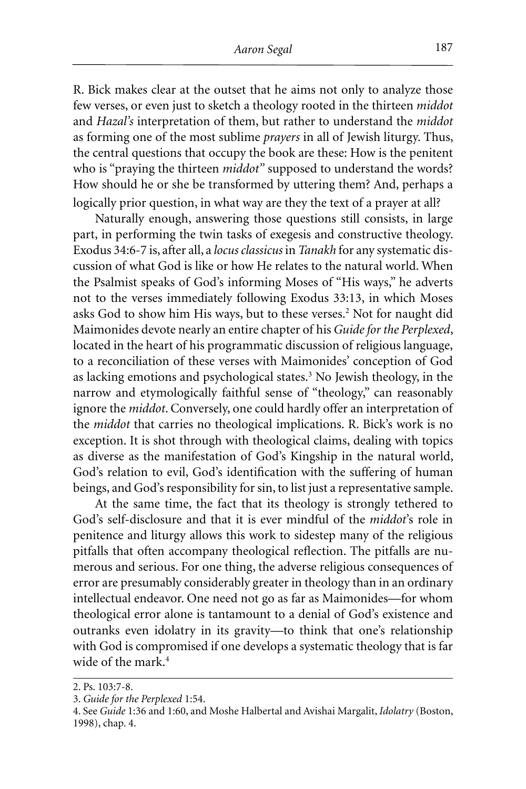R. Bick makes clear at the outset that he aims not only to analyze those few verses, or even just to sketch a theology rooted in the thirteen *middot*  and *Hazal's* interpretation of them, but rather to understand the *middot*  as forming one of the most sublime *prayers* in all of Jewish liturgy. Thus, the central questions that occupy the book are these: How is the penitent who is "praying the thirteen *middot"* supposed to understand the words? How should he or she be transformed by uttering them? And, perhaps a logically prior question, in what way are they the text of a prayer at all?

Naturally enough, answering those questions still consists, in large part, in performing the twin tasks of exegesis and constructive theology. Exodus 34:6-7 is, after all, a *locus classicus* in *Tanakh* for any systematic discussion of what God is like or how He relates to the natural world. When the Psalmist speaks of God's informing Moses of "His ways," he adverts not to the verses immediately following Exodus 33:13, in which Moses asks God to show him His ways, but to these verses.<sup>2</sup> Not for naught did Maimonides devote nearly an entire chapter of his *Guide for the Perplexed*, located in the heart of his programmatic discussion of religious language, to a reconciliation of these verses with Maimonides' conception of God as lacking emotions and psychological states.<sup>3</sup> No Jewish theology, in the narrow and etymologically faithful sense of "theology," can reasonably ignore the *middot*. Conversely, one could hardly offer an interpretation of the *middot* that carries no theological implications. R. Bick's work is no exception. It is shot through with theological claims, dealing with topics as diverse as the manifestation of God's Kingship in the natural world, God's relation to evil, God's identification with the suffering of human beings, and God's responsibility for sin, to list just a representative sample.

At the same time, the fact that its theology is strongly tethered to God's self-disclosure and that it is ever mindful of the *middot*'s role in penitence and liturgy allows this work to sidestep many of the religious pitfalls that often accompany theological reflection. The pitfalls are numerous and serious. For one thing, the adverse religious consequences of error are presumably considerably greater in theology than in an ordinary intellectual endeavor. One need not go as far as Maimonides—for whom theological error alone is tantamount to a denial of God's existence and outranks even idolatry in its gravity—to think that one's relationship with God is compromised if one develops a systematic theology that is far wide of the mark.<sup>4</sup>

<sup>2.</sup> Ps. 103:7-8.

<sup>3.</sup> *Guide for the Perplexed* 1:54.

<sup>4.</sup> See *Guide* 1:36 and 1:60, and Moshe Halbertal and Avishai Margalit, *Idolatry* (Boston, 1998), chap. 4.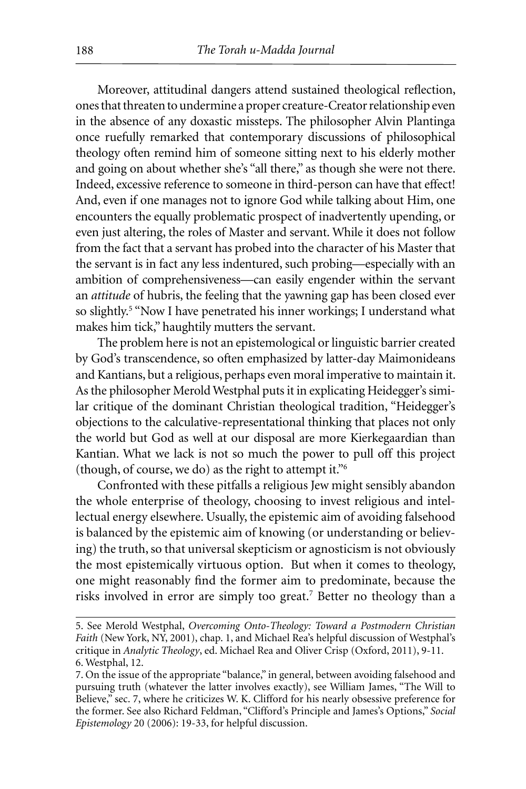Moreover, attitudinal dangers attend sustained theological reflection, ones that threaten to undermine a proper creature-Creator relationship even in the absence of any doxastic missteps. The philosopher Alvin Plantinga once ruefully remarked that contemporary discussions of philosophical theology often remind him of someone sitting next to his elderly mother and going on about whether she's "all there," as though she were not there. Indeed, excessive reference to someone in third-person can have that effect! And, even if one manages not to ignore God while talking about Him, one encounters the equally problematic prospect of inadvertently upending, or even just altering, the roles of Master and servant. While it does not follow from the fact that a servant has probed into the character of his Master that the servant is in fact any less indentured, such probing—especially with an ambition of comprehensiveness—can easily engender within the servant an *attitude* of hubris, the feeling that the yawning gap has been closed ever so slightly.<sup>5</sup> "Now I have penetrated his inner workings; I understand what makes him tick," haughtily mutters the servant.

The problem here is not an epistemological or linguistic barrier created by God's transcendence, so often emphasized by latter-day Maimonideans and Kantians, but a religious, perhaps even moral imperative to maintain it. As the philosopher Merold Westphal puts it in explicating Heidegger's similar critique of the dominant Christian theological tradition, "Heidegger's objections to the calculative-representational thinking that places not only the world but God as well at our disposal are more Kierkegaardian than Kantian. What we lack is not so much the power to pull off this project (though, of course, we do) as the right to attempt it."<sup>6</sup>

Confronted with these pitfalls a religious Jew might sensibly abandon the whole enterprise of theology, choosing to invest religious and intellectual energy elsewhere. Usually, the epistemic aim of avoiding falsehood is balanced by the epistemic aim of knowing (or understanding or believing) the truth, so that universal skepticism or agnosticism is not obviously the most epistemically virtuous option. But when it comes to theology, one might reasonably find the former aim to predominate, because the risks involved in error are simply too great.<sup>7</sup> Better no theology than a

<sup>5.</sup> See Merold Westphal, *Overcoming Onto-Theology: Toward a Postmodern Christian Faith* (New York, NY, 2001), chap. 1, and Michael Rea's helpful discussion of Westphal's critique in *Analytic Theology*, ed. Michael Rea and Oliver Crisp (Oxford, 2011), 9-11. 6. Westphal, 12.

<sup>7.</sup> On the issue of the appropriate "balance," in general, between avoiding falsehood and pursuing truth (whatever the latter involves exactly), see William James, "The Will to Believe," sec. 7, where he criticizes W. K. Clifford for his nearly obsessive preference for the former. See also Richard Feldman, "Clifford's Principle and James's Options," *Social Epistemology* 20 (2006): 19-33, for helpful discussion.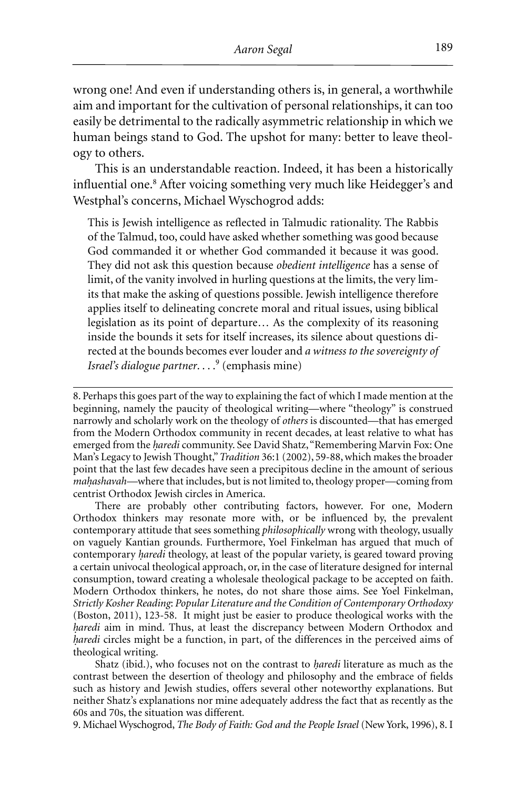wrong one! And even if understanding others is, in general, a worthwhile aim and important for the cultivation of personal relationships, it can too easily be detrimental to the radically asymmetric relationship in which we human beings stand to God. The upshot for many: better to leave theology to others.

This is an understandable reaction. Indeed, it has been a historically influential one.<sup>8</sup> After voicing something very much like Heidegger's and Westphal's concerns, Michael Wyschogrod adds:

This is Jewish intelligence as reflected in Talmudic rationality. The Rabbis of the Talmud, too, could have asked whether something was good because God commanded it or whether God commanded it because it was good. They did not ask this question because *obedient intelligence* has a sense of limit, of the vanity involved in hurling questions at the limits, the very limits that make the asking of questions possible. Jewish intelligence therefore applies itself to delineating concrete moral and ritual issues, using biblical legislation as its point of departure… As the complexity of its reasoning inside the bounds it sets for itself increases, its silence about questions directed at the bounds becomes ever louder and *a witness to the sovereignty of Israel's dialogue partner....*<sup>9</sup> (emphasis mine)

8. Perhaps this goes part of the way to explaining the fact of which I made mention at the beginning, namely the paucity of theological writing—where "theology" is construed narrowly and scholarly work on the theology of *others* is discounted—that has emerged from the Modern Orthodox community in recent decades, at least relative to what has emerged from the *haredi* community. See David Shatz, "Remembering Marvin Fox: One Man's Legacy to Jewish Thought," *Tradition* 36:1 (2002), 59-88, which makes the broader point that the last few decades have seen a precipitous decline in the amount of serious mahashavah—where that includes, but is not limited to, theology proper—coming from centrist Orthodox Jewish circles in America.

There are probably other contributing factors, however. For one, Modern Orthodox thinkers may resonate more with, or be influenced by, the prevalent contemporary attitude that sees something *philosophically* wrong with theology, usually on vaguely Kantian grounds. Furthermore, Yoel Finkelman has argued that much of contemporary *haredi* theology, at least of the popular variety, is geared toward proving a certain univocal theological approach, or, in the case of literature designed for internal consumption, toward creating a wholesale theological package to be accepted on faith. Modern Orthodox thinkers, he notes, do not share those aims. See Yoel Finkelman, *Strictly Kosher Reading*: *Popular Literature and the Condition of Contemporary Orthodoxy* (Boston, 2011), 123-58. It might just be easier to produce theological works with the *haredi* aim in mind. Thus, at least the discrepancy between Modern Orthodox and *haredi* circles might be a function, in part, of the differences in the perceived aims of theological writing.

Shatz (ibid.), who focuses not on the contrast to *haredi* literature as much as the contrast between the desertion of theology and philosophy and the embrace of fields such as history and Jewish studies, offers several other noteworthy explanations. But neither Shatz's explanations nor mine adequately address the fact that as recently as the 60s and 70s, the situation was different*.*

9. Michael Wyschogrod, *The Body of Faith: God and the People Israel* (New York, 1996), 8. I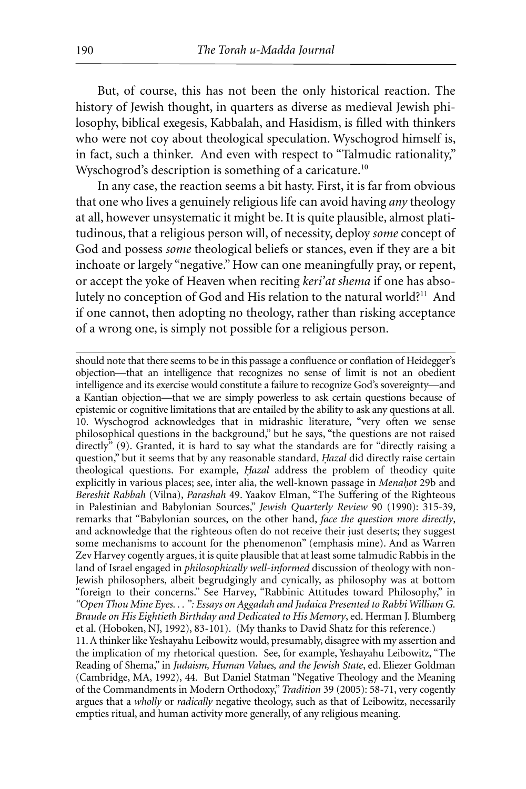But, of course, this has not been the only historical reaction. The history of Jewish thought, in quarters as diverse as medieval Jewish philosophy, biblical exegesis, Kabbalah, and Hasidism, is filled with thinkers who were not coy about theological speculation. Wyschogrod himself is, in fact, such a thinker. And even with respect to "Talmudic rationality," Wyschogrod's description is something of a caricature.<sup>10</sup>

In any case, the reaction seems a bit hasty. First, it is far from obvious that one who lives a genuinely religious life can avoid having *any* theology at all, however unsystematic it might be. It is quite plausible, almost platitudinous, that a religious person will, of necessity, deploy *some* concept of God and possess *some* theological beliefs or stances, even if they are a bit inchoate or largely "negative." How can one meaningfully pray, or repent, or accept the yoke of Heaven when reciting *keri'at shema* if one has absolutely no conception of God and His relation to the natural world?11 And if one cannot, then adopting no theology, rather than risking acceptance of a wrong one, is simply not possible for a religious person.

should note that there seems to be in this passage a confluence or conflation of Heidegger's objection—that an intelligence that recognizes no sense of limit is not an obedient intelligence and its exercise would constitute a failure to recognize God's sovereignty—and a Kantian objection—that we are simply powerless to ask certain questions because of epistemic or cognitive limitations that are entailed by the ability to ask any questions at all. 10. Wyschogrod acknowledges that in midrashic literature, "very often we sense philosophical questions in the background," but he says, "the questions are not raised directly" (9). Granted, it is hard to say what the standards are for "directly raising a question," but it seems that by any reasonable standard, *Hazal* did directly raise certain theological questions. For example, *H. azal* address the problem of theodicy quite explicitly in various places; see, inter alia, the well-known passage in *Menahot* 29b and *Bereshit Rabbah* (Vilna), *Parashah* 49. Yaakov Elman, "The Suffering of the Righteous in Palestinian and Babylonian Sources," *Jewish Quarterly Review* 90 (1990): 315-39, remarks that "Babylonian sources, on the other hand, *face the question more directly*, and acknowledge that the righteous often do not receive their just deserts; they suggest some mechanisms to account for the phenomenon" (emphasis mine). And as Warren Zev Harvey cogently argues, it is quite plausible that at least some talmudic Rabbis in the land of Israel engaged in *philosophically well-informed* discussion of theology with non-Jewish philosophers, albeit begrudgingly and cynically, as philosophy was at bottom "foreign to their concerns." See Harvey, "Rabbinic Attitudes toward Philosophy," in *"Open Thou Mine Eyes. . . ": Essays on Aggadah and Judaica Presented to Rabbi William G. Braude on His Eightieth Birthday and Dedicated to His Memory*, ed. Herman J. Blumberg et al. (Hoboken, NJ, 1992), 83-101). (My thanks to David Shatz for this reference.) 11. A thinker like Yeshayahu Leibowitz would, presumably, disagree with my assertion and the implication of my rhetorical question. See, for example, Yeshayahu Leibowitz, "The Reading of Shema," in *Judaism, Human Values, and the Jewish State*, ed. Eliezer Goldman (Cambridge, MA, 1992), 44. But Daniel Statman "Negative Theology and the Meaning

argues that a *wholly* or *radically* negative theology, such as that of Leibowitz, necessarily

empties ritual, and human activity more generally, of any religious meaning.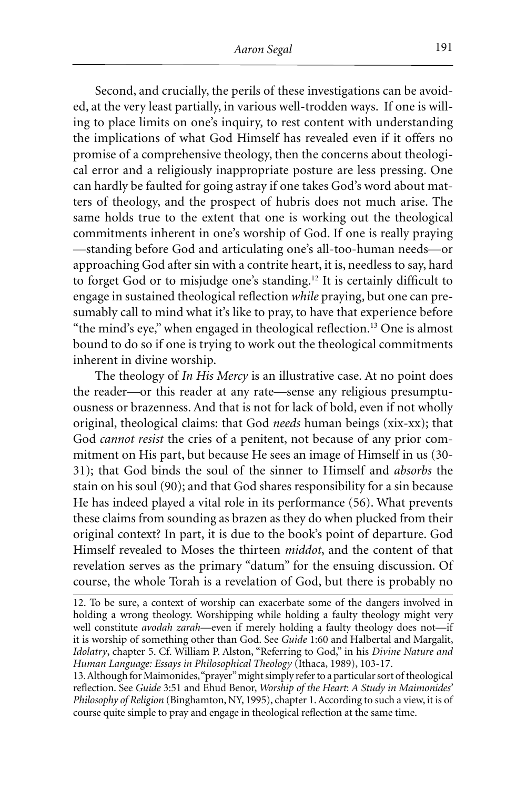Second, and crucially, the perils of these investigations can be avoided, at the very least partially, in various well-trodden ways. If one is willing to place limits on one's inquiry, to rest content with understanding the implications of what God Himself has revealed even if it offers no promise of a comprehensive theology, then the concerns about theological error and a religiously inappropriate posture are less pressing. One can hardly be faulted for going astray if one takes God's word about matters of theology, and the prospect of hubris does not much arise. The same holds true to the extent that one is working out the theological commitments inherent in one's worship of God. If one is really praying —standing before God and articulating one's all-too-human needs—or approaching God after sin with a contrite heart, it is, needless to say, hard to forget God or to misjudge one's standing.12 It is certainly difficult to engage in sustained theological reflection *while* praying, but one can presumably call to mind what it's like to pray, to have that experience before "the mind's eye," when engaged in theological reflection.<sup>13</sup> One is almost bound to do so if one is trying to work out the theological commitments inherent in divine worship.

The theology of *In His Mercy* is an illustrative case. At no point does the reader—or this reader at any rate—sense any religious presumptuousness or brazenness. And that is not for lack of bold, even if not wholly original, theological claims: that God *needs* human beings (xix-xx); that God *cannot resist* the cries of a penitent, not because of any prior commitment on His part, but because He sees an image of Himself in us (30- 31); that God binds the soul of the sinner to Himself and *absorbs* the stain on his soul (90); and that God shares responsibility for a sin because He has indeed played a vital role in its performance (56). What prevents these claims from sounding as brazen as they do when plucked from their original context? In part, it is due to the book's point of departure. God Himself revealed to Moses the thirteen *middot*, and the content of that revelation serves as the primary "datum" for the ensuing discussion. Of course, the whole Torah is a revelation of God, but there is probably no

<sup>12.</sup> To be sure, a context of worship can exacerbate some of the dangers involved in holding a wrong theology. Worshipping while holding a faulty theology might very well constitute *avodah zarah—*even if merely holding a faulty theology does not—if it is worship of something other than God. See *Guide* 1:60 and Halbertal and Margalit, *Idolatry*, chapter 5. Cf. William P. Alston, "Referring to God," in his *Divine Nature and Human Language: Essays in Philosophical Theology* (Ithaca, 1989), 103-17.

<sup>13.</sup> Although for Maimonides, "prayer" might simply refer to a particular sort of theological reflection. See *Guide* 3:51 and Ehud Benor, *Worship of the Heart*: *A Study in Maimonides' Philosophy of Religion* (Binghamton, NY, 1995), chapter 1. According to such a view, it is of course quite simple to pray and engage in theological reflection at the same time.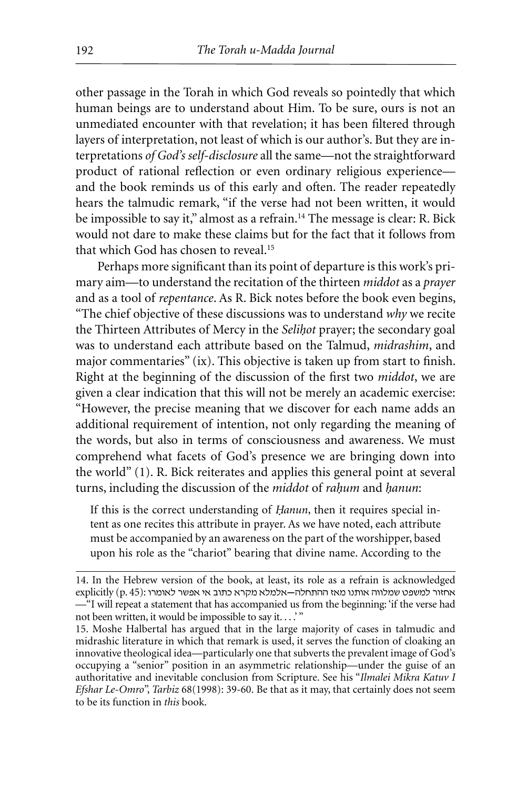other passage in the Torah in which God reveals so pointedly that which human beings are to understand about Him. To be sure, ours is not an unmediated encounter with that revelation; it has been filtered through layers of interpretation, not least of which is our author's. But they are interpretations *of God's self-disclosure* all the same—not the straightforward product of rational reflection or even ordinary religious experience and the book reminds us of this early and often. The reader repeatedly hears the talmudic remark, "if the verse had not been written, it would be impossible to say it," almost as a refrain.<sup>14</sup> The message is clear: R. Bick would not dare to make these claims but for the fact that it follows from that which God has chosen to reveal.<sup>15</sup>

Perhaps more significant than its point of departure is this work's primary aim—to understand the recitation of the thirteen *middot* as a *prayer*  and as a tool of *repentance*. As R. Bick notes before the book even begins, "The chief objective of these discussions was to understand *why* we recite the Thirteen Attributes of Mercy in the *Selihot* prayer; the secondary goal was to understand each attribute based on the Talmud, *midrashim*, and major commentaries" (ix). This objective is taken up from start to finish. Right at the beginning of the discussion of the first two *middot*, we are given a clear indication that this will not be merely an academic exercise: "However, the precise meaning that we discover for each name adds an additional requirement of intention, not only regarding the meaning of the words, but also in terms of consciousness and awareness. We must comprehend what facets of God's presence we are bringing down into the world" (1). R. Bick reiterates and applies this general point at several turns, including the discussion of the *middot* of *rahum* and *hanun*:

If this is the correct understanding of *Hanun*, then it requires special intent as one recites this attribute in prayer. As we have noted, each attribute must be accompanied by an awareness on the part of the worshipper, based upon his role as the "chariot" bearing that divine name. According to the

<sup>14.</sup> In the Hebrew version of the book, at least, its role as a refrain is acknowledged  $\text{explicitly (p. 45):}$  אחזור למשפט שמלווה אותנו מאז ההתחלה—אלמלא מקרא כתוב אי אפשר לאומרו —"I will repeat a statement that has accompanied us from the beginning: 'if the verse had not been written, it would be impossible to say it. . . .' "

<sup>15.</sup> Moshe Halbertal has argued that in the large majority of cases in talmudic and midrashic literature in which that remark is used, it serves the function of cloaking an innovative theological idea—particularly one that subverts the prevalent image of God's occupying a "senior" position in an asymmetric relationship—under the guise of an authoritative and inevitable conclusion from Scripture. See his "*Ilmalei Mikra Katuv I Efshar Le-Omro*", *Tarbiz* 68(1998): 39-60. Be that as it may, that certainly does not seem to be its function in *this* book.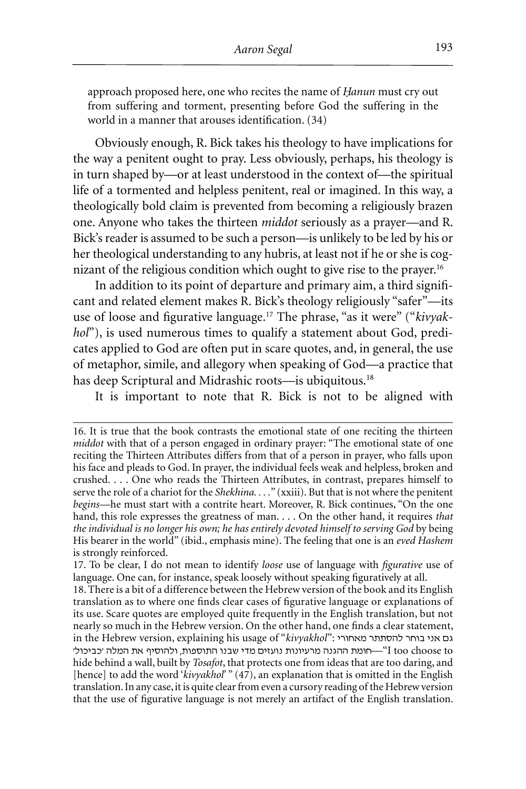approach proposed here, one who recites the name of *Hanun* must cry out from suffering and torment, presenting before God the suffering in the world in a manner that arouses identification. (34)

Obviously enough, R. Bick takes his theology to have implications for the way a penitent ought to pray. Less obviously, perhaps, his theology is in turn shaped by—or at least understood in the context of—the spiritual life of a tormented and helpless penitent, real or imagined. In this way, a theologically bold claim is prevented from becoming a religiously brazen one. Anyone who takes the thirteen *middot* seriously as a prayer—and R. Bick's reader is assumed to be such a person—is unlikely to be led by his or her theological understanding to any hubris, at least not if he or she is cognizant of the religious condition which ought to give rise to the prayer.<sup>16</sup>

In addition to its point of departure and primary aim, a third significant and related element makes R. Bick's theology religiously "safer"—its use of loose and figurative language.17 The phrase, "as it were" ("*kivyakhol*"), is used numerous times to qualify a statement about God, predicates applied to God are often put in scare quotes, and, in general, the use of metaphor, simile, and allegory when speaking of God—a practice that has deep Scriptural and Midrashic roots-is ubiquitous.<sup>18</sup>

It is important to note that R. Bick is not to be aligned with

<sup>16.</sup> It is true that the book contrasts the emotional state of one reciting the thirteen *middot* with that of a person engaged in ordinary prayer: "The emotional state of one reciting the Thirteen Attributes differs from that of a person in prayer, who falls upon his face and pleads to God. In prayer, the individual feels weak and helpless, broken and crushed. . . . One who reads the Thirteen Attributes, in contrast, prepares himself to serve the role of a chariot for the *Shekhina. . . .*" (xxiii). But that is not where the penitent *begins—*he must start with a contrite heart. Moreover, R. Bick continues, "On the one hand, this role expresses the greatness of man. . . . On the other hand, it requires *that the individual is no longer his own; he has entirely devoted himself to serving God* by being His bearer in the world" (ibid., emphasis mine). The feeling that one is an *eved Hashem* is strongly reinforced.

<sup>17.</sup> To be clear, I do not mean to identify *loose* use of language with *figurative* use of language. One can, for instance, speak loosely without speaking figuratively at all.

<sup>18.</sup> There is a bit of a difference between the Hebrew version of the book and its English translation as to where one finds clear cases of figurative language or explanations of its use. Scare quotes are employed quite frequently in the English translation, but not nearly so much in the Hebrew version. On the other hand, one finds a clear statement, in the Hebrew version, explaining his usage of "*kivyakhol*": גם אני בוחר להסתתר מאחורי יאר ממלה 'כביכול' (ענאים מדי שבנו התוספות, ולהוסיף את המלה 'כביכול' (ענאים מגלה' הוא המלה' הו $\cdots$ hide behind a wall, built by *Tosafot*, that protects one from ideas that are too daring, and [hence] to add the word '*kivyakhol'* " (47), an explanation that is omitted in the English translation. In any case, it is quite clear from even a cursory reading of the Hebrew version that the use of figurative language is not merely an artifact of the English translation.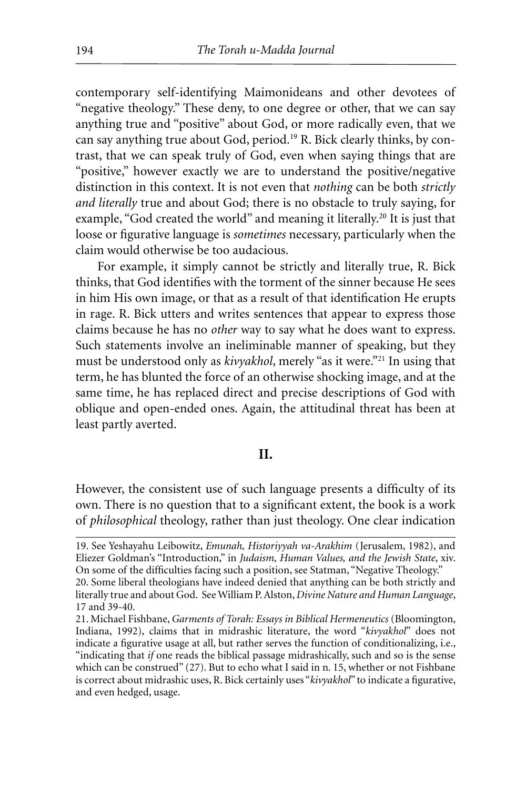contemporary self-identifying Maimonideans and other devotees of "negative theology." These deny, to one degree or other, that we can say anything true and "positive" about God, or more radically even, that we can say anything true about God, period.19 R. Bick clearly thinks, by contrast, that we can speak truly of God, even when saying things that are "positive," however exactly we are to understand the positive/negative distinction in this context. It is not even that *nothing* can be both *strictly and literally* true and about God; there is no obstacle to truly saying, for example, "God created the world" and meaning it literally.<sup>20</sup> It is just that loose or figurative language is *sometimes* necessary, particularly when the claim would otherwise be too audacious.

For example, it simply cannot be strictly and literally true, R. Bick thinks, that God identifies with the torment of the sinner because He sees in him His own image, or that as a result of that identification He erupts in rage. R. Bick utters and writes sentences that appear to express those claims because he has no *other* way to say what he does want to express. Such statements involve an ineliminable manner of speaking, but they must be understood only as *kivyakhol*, merely "as it were."21 In using that term, he has blunted the force of an otherwise shocking image, and at the same time, he has replaced direct and precise descriptions of God with oblique and open-ended ones. Again, the attitudinal threat has been at least partly averted.

#### **II.**

However, the consistent use of such language presents a difficulty of its own. There is no question that to a significant extent, the book is a work of *philosophical* theology, rather than just theology. One clear indication

<sup>19.</sup> See Yeshayahu Leibowitz, *Emunah, Historiyyah va-Arakhim* (Jerusalem, 1982), and Eliezer Goldman's "Introduction," in *Judaism, Human Values, and the Jewish State*, xiv. On some of the difficulties facing such a position, see Statman, "Negative Theology." 20. Some liberal theologians have indeed denied that anything can be both strictly and

literally true and about God. See William P. Alston, *Divine Nature and Human Language*, 17 and 39-40.

<sup>21.</sup> Michael Fishbane, *Garments of Torah: Essays in Biblical Hermeneutics* (Bloomington, Indiana, 1992), claims that in midrashic literature, the word "*kivyakhol*" does not indicate a figurative usage at all, but rather serves the function of conditionalizing, i.e., "indicating that *if* one reads the biblical passage midrashically, such and so is the sense which can be construed" (27). But to echo what I said in n. 15, whether or not Fishbane is correct about midrashic uses, R. Bick certainly uses "*kivyakhol*" to indicate a figurative, and even hedged, usage.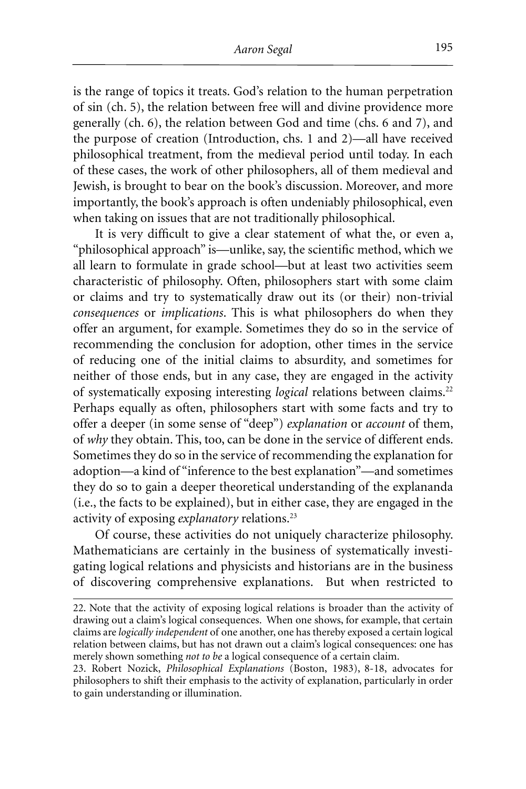is the range of topics it treats. God's relation to the human perpetration of sin (ch. 5), the relation between free will and divine providence more generally (ch. 6), the relation between God and time (chs. 6 and 7), and the purpose of creation (Introduction, chs. 1 and 2)—all have received philosophical treatment, from the medieval period until today. In each of these cases, the work of other philosophers, all of them medieval and Jewish, is brought to bear on the book's discussion. Moreover, and more importantly, the book's approach is often undeniably philosophical, even when taking on issues that are not traditionally philosophical.

It is very difficult to give a clear statement of what the, or even a, "philosophical approach" is—unlike, say, the scientific method, which we all learn to formulate in grade school—but at least two activities seem characteristic of philosophy. Often, philosophers start with some claim or claims and try to systematically draw out its (or their) non-trivial *consequences* or *implications*. This is what philosophers do when they offer an argument, for example. Sometimes they do so in the service of recommending the conclusion for adoption, other times in the service of reducing one of the initial claims to absurdity, and sometimes for neither of those ends, but in any case, they are engaged in the activity of systematically exposing interesting *logical* relations between claims.22 Perhaps equally as often, philosophers start with some facts and try to offer a deeper (in some sense of "deep") *explanation* or *account* of them, of *why* they obtain. This, too, can be done in the service of different ends. Sometimes they do so in the service of recommending the explanation for adoption—a kind of "inference to the best explanation"—and sometimes they do so to gain a deeper theoretical understanding of the explananda (i.e., the facts to be explained), but in either case, they are engaged in the activity of exposing *explanatory* relations.23

Of course, these activities do not uniquely characterize philosophy. Mathematicians are certainly in the business of systematically investigating logical relations and physicists and historians are in the business of discovering comprehensive explanations. But when restricted to

<sup>22.</sup> Note that the activity of exposing logical relations is broader than the activity of drawing out a claim's logical consequences. When one shows, for example, that certain claims are *logically independent* of one another, one has thereby exposed a certain logical relation between claims, but has not drawn out a claim's logical consequences: one has merely shown something *not to be* a logical consequence of a certain claim.

<sup>23.</sup> Robert Nozick, *Philosophical Explanations* (Boston, 1983), 8-18, advocates for philosophers to shift their emphasis to the activity of explanation, particularly in order to gain understanding or illumination.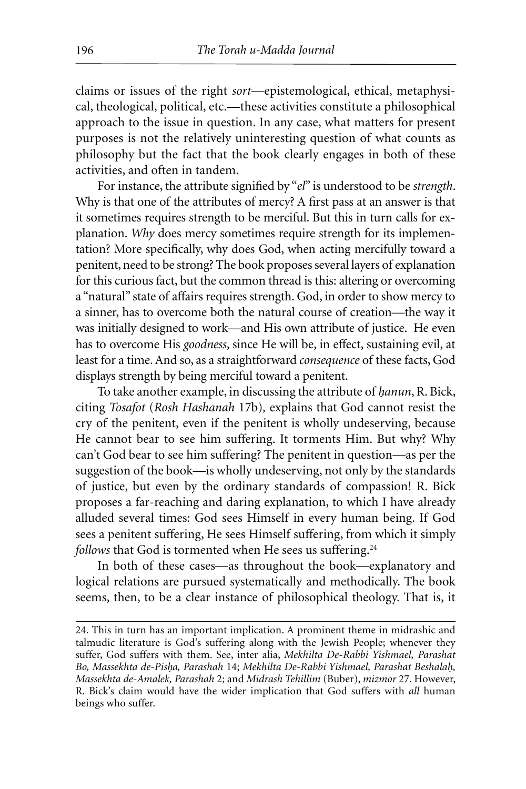claims or issues of the right *sort—*epistemological, ethical, metaphysical, theological, political, etc.—these activities constitute a philosophical approach to the issue in question. In any case, what matters for present purposes is not the relatively uninteresting question of what counts as philosophy but the fact that the book clearly engages in both of these activities, and often in tandem.

For instance, the attribute signified by "*el*" is understood to be *strength*. Why is that one of the attributes of mercy? A first pass at an answer is that it sometimes requires strength to be merciful. But this in turn calls for explanation. *Why* does mercy sometimes require strength for its implementation? More specifically, why does God, when acting mercifully toward a penitent, need to be strong? The book proposes several layers of explanation for this curious fact, but the common thread is this: altering or overcoming a "natural" state of affairs requires strength. God, in order to show mercy to a sinner, has to overcome both the natural course of creation—the way it was initially designed to work—and His own attribute of justice. He even has to overcome His *goodness*, since He will be, in effect, sustaining evil, at least for a time. And so, as a straightforward *consequence* of these facts, God displays strength by being merciful toward a penitent.

To take another example, in discussing the attribute of *hanun*, R. Bick, citing *Tosafot* (*Rosh Hashanah* 17b)*,* explains that God cannot resist the cry of the penitent, even if the penitent is wholly undeserving, because He cannot bear to see him suffering. It torments Him. But why? Why can't God bear to see him suffering? The penitent in question—as per the suggestion of the book—is wholly undeserving, not only by the standards of justice, but even by the ordinary standards of compassion! R. Bick proposes a far-reaching and daring explanation, to which I have already alluded several times: God sees Himself in every human being. If God sees a penitent suffering, He sees Himself suffering, from which it simply follows that God is tormented when He sees us suffering.<sup>24</sup>

In both of these cases—as throughout the book—explanatory and logical relations are pursued systematically and methodically. The book seems, then, to be a clear instance of philosophical theology. That is, it

<sup>24.</sup> This in turn has an important implication. A prominent theme in midrashic and talmudic literature is God's suffering along with the Jewish People; whenever they suffer, God suffers with them. See, inter alia, *Mekhilta De-Rabbi Yishmael, Parashat Bo, Massekhta de-Pish.a, Parashah* 14; *Mekhilta De-Rabbi Yishmael, Parashat Beshalah., Massekhta de-Amalek, Parashah* 2; and *Midrash Tehillim* (Buber), *mizmor* 27. However, R. Bick's claim would have the wider implication that God suffers with *all* human beings who suffer.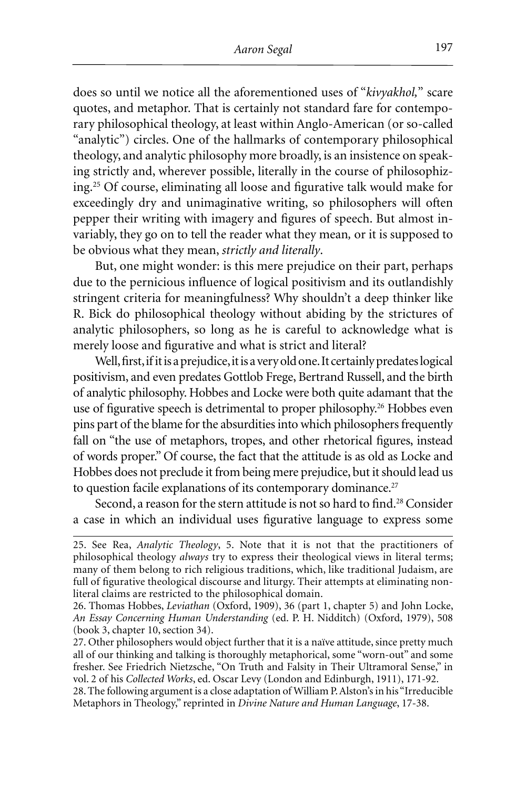does so until we notice all the aforementioned uses of "*kivyakhol,*" scare quotes, and metaphor. That is certainly not standard fare for contemporary philosophical theology, at least within Anglo-American (or so-called "analytic") circles. One of the hallmarks of contemporary philosophical theology, and analytic philosophy more broadly, is an insistence on speaking strictly and, wherever possible, literally in the course of philosophizing.<sup>25</sup> Of course, eliminating all loose and figurative talk would make for exceedingly dry and unimaginative writing, so philosophers will often pepper their writing with imagery and figures of speech. But almost invariably, they go on to tell the reader what they mean*,* or it is supposed to be obvious what they mean, *strictly and literally*.

But, one might wonder: is this mere prejudice on their part, perhaps due to the pernicious influence of logical positivism and its outlandishly stringent criteria for meaningfulness? Why shouldn't a deep thinker like R. Bick do philosophical theology without abiding by the strictures of analytic philosophers, so long as he is careful to acknowledge what is merely loose and figurative and what is strict and literal?

Well, first, if it is a prejudice, it is a very old one. It certainly predates logical positivism, and even predates Gottlob Frege, Bertrand Russell, and the birth of analytic philosophy. Hobbes and Locke were both quite adamant that the use of figurative speech is detrimental to proper philosophy.<sup>26</sup> Hobbes even pins part of the blame for the absurdities into which philosophers frequently fall on "the use of metaphors, tropes, and other rhetorical figures, instead of words proper." Of course, the fact that the attitude is as old as Locke and Hobbes does not preclude it from being mere prejudice, but it should lead us to question facile explanations of its contemporary dominance.<sup>27</sup>

Second, a reason for the stern attitude is not so hard to find.<sup>28</sup> Consider a case in which an individual uses figurative language to express some

<sup>25.</sup> See Rea, *Analytic Theology*, 5. Note that it is not that the practitioners of philosophical theology *always* try to express their theological views in literal terms; many of them belong to rich religious traditions, which, like traditional Judaism, are full of figurative theological discourse and liturgy. Their attempts at eliminating nonliteral claims are restricted to the philosophical domain.

<sup>26.</sup> Thomas Hobbes, *Leviathan* (Oxford, 1909), 36 (part 1, chapter 5) and John Locke, *An Essay Concerning Human Understanding* (ed. P. H. Nidditch) (Oxford, 1979), 508 (book 3, chapter 10, section 34).

<sup>27.</sup> Other philosophers would object further that it is a naïve attitude, since pretty much all of our thinking and talking is thoroughly metaphorical, some "worn-out" and some fresher. See Friedrich Nietzsche, "On Truth and Falsity in Their Ultramoral Sense," in vol. 2 of his *Collected Works*, ed. Oscar Levy (London and Edinburgh, 1911), 171-92.

<sup>28.</sup> The following argument is a close adaptation of William P. Alston's in his "Irreducible Metaphors in Theology," reprinted in *Divine Nature and Human Language*, 17-38.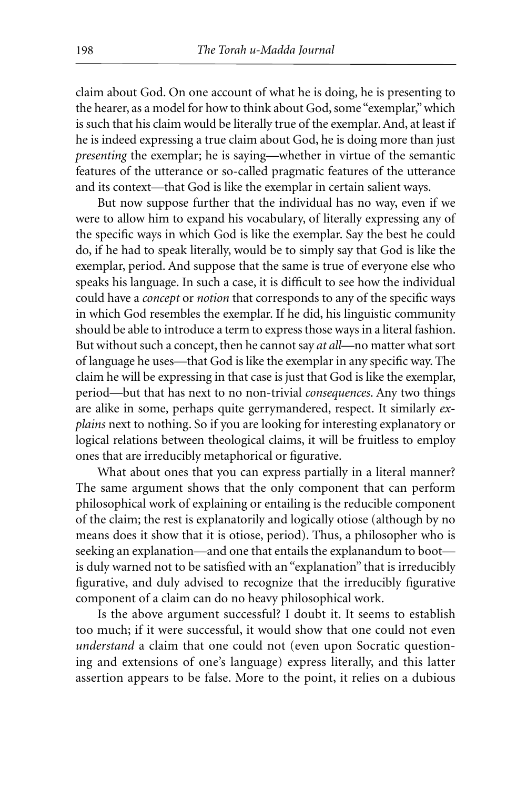claim about God. On one account of what he is doing, he is presenting to the hearer, as a model for how to think about God, some "exemplar," which is such that his claim would be literally true of the exemplar. And, at least if he is indeed expressing a true claim about God, he is doing more than just *presenting* the exemplar; he is saying—whether in virtue of the semantic features of the utterance or so-called pragmatic features of the utterance and its context—that God is like the exemplar in certain salient ways.

But now suppose further that the individual has no way, even if we were to allow him to expand his vocabulary, of literally expressing any of the specific ways in which God is like the exemplar. Say the best he could do, if he had to speak literally, would be to simply say that God is like the exemplar, period. And suppose that the same is true of everyone else who speaks his language. In such a case, it is difficult to see how the individual could have a *concept* or *notion* that corresponds to any of the specific ways in which God resembles the exemplar. If he did, his linguistic community should be able to introduce a term to express those ways in a literal fashion. But without such a concept, then he cannot say *at all*—no matter what sort of language he uses—that God is like the exemplar in any specific way. The claim he will be expressing in that case is just that God is like the exemplar, period—but that has next to no non-trivial *consequences*. Any two things are alike in some, perhaps quite gerrymandered, respect. It similarly *explains* next to nothing. So if you are looking for interesting explanatory or logical relations between theological claims, it will be fruitless to employ ones that are irreducibly metaphorical or figurative.

What about ones that you can express partially in a literal manner? The same argument shows that the only component that can perform philosophical work of explaining or entailing is the reducible component of the claim; the rest is explanatorily and logically otiose (although by no means does it show that it is otiose, period). Thus, a philosopher who is seeking an explanation—and one that entails the explanandum to boot is duly warned not to be satisfied with an "explanation" that is irreducibly figurative, and duly advised to recognize that the irreducibly figurative component of a claim can do no heavy philosophical work.

Is the above argument successful? I doubt it. It seems to establish too much; if it were successful, it would show that one could not even *understand* a claim that one could not (even upon Socratic questioning and extensions of one's language) express literally, and this latter assertion appears to be false. More to the point, it relies on a dubious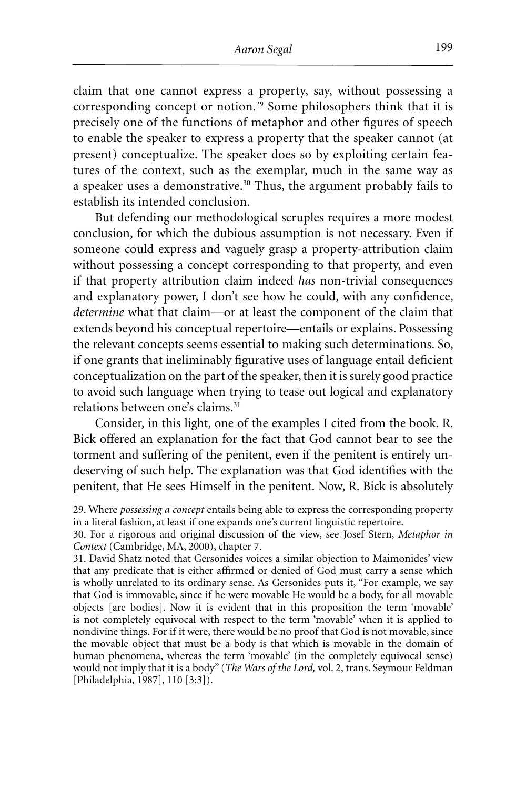claim that one cannot express a property, say, without possessing a corresponding concept or notion.<sup>29</sup> Some philosophers think that it is precisely one of the functions of metaphor and other figures of speech to enable the speaker to express a property that the speaker cannot (at present) conceptualize. The speaker does so by exploiting certain features of the context, such as the exemplar, much in the same way as a speaker uses a demonstrative.<sup>30</sup> Thus, the argument probably fails to establish its intended conclusion.

But defending our methodological scruples requires a more modest conclusion, for which the dubious assumption is not necessary. Even if someone could express and vaguely grasp a property-attribution claim without possessing a concept corresponding to that property, and even if that property attribution claim indeed *has* non-trivial consequences and explanatory power, I don't see how he could, with any confidence, *determine* what that claim—or at least the component of the claim that extends beyond his conceptual repertoire—entails or explains. Possessing the relevant concepts seems essential to making such determinations. So, if one grants that ineliminably figurative uses of language entail deficient conceptualization on the part of the speaker, then it is surely good practice to avoid such language when trying to tease out logical and explanatory relations between one's claims.<sup>31</sup>

Consider, in this light, one of the examples I cited from the book. R. Bick offered an explanation for the fact that God cannot bear to see the torment and suffering of the penitent, even if the penitent is entirely undeserving of such help. The explanation was that God identifies with the penitent, that He sees Himself in the penitent. Now, R. Bick is absolutely

<sup>29.</sup> Where *possessing a concept* entails being able to express the corresponding property in a literal fashion, at least if one expands one's current linguistic repertoire.

<sup>30.</sup> For a rigorous and original discussion of the view, see Josef Stern, *Metaphor in Context* (Cambridge, MA, 2000), chapter 7.

<sup>31.</sup> David Shatz noted that Gersonides voices a similar objection to Maimonides' view that any predicate that is either affirmed or denied of God must carry a sense which is wholly unrelated to its ordinary sense. As Gersonides puts it, "For example, we say that God is immovable, since if he were movable He would be a body, for all movable objects [are bodies]. Now it is evident that in this proposition the term 'movable' is not completely equivocal with respect to the term 'movable' when it is applied to nondivine things. For if it were, there would be no proof that God is not movable, since the movable object that must be a body is that which is movable in the domain of human phenomena, whereas the term 'movable' (in the completely equivocal sense) would not imply that it is a body" (*The Wars of the Lord,* vol. 2, trans. Seymour Feldman [Philadelphia, 1987], 110 [3:3]).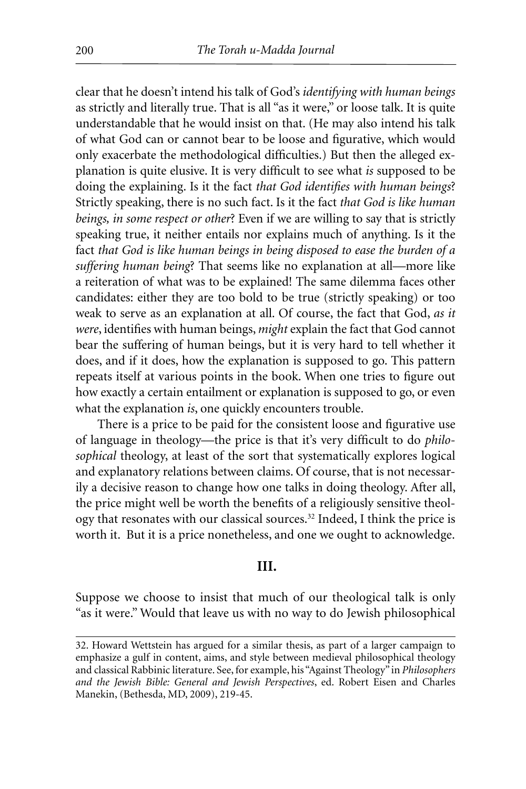clear that he doesn't intend his talk of God's *identifying with human beings* as strictly and literally true. That is all "as it were," or loose talk. It is quite understandable that he would insist on that. (He may also intend his talk of what God can or cannot bear to be loose and figurative, which would only exacerbate the methodological difficulties.) But then the alleged explanation is quite elusive. It is very difficult to see what *is* supposed to be doing the explaining. Is it the fact *that God identifies with human beings*? Strictly speaking, there is no such fact. Is it the fact *that God is like human beings, in some respect or other*? Even if we are willing to say that is strictly speaking true, it neither entails nor explains much of anything. Is it the fact *that God is like human beings in being disposed to ease the burden of a suffering human being*? That seems like no explanation at all—more like a reiteration of what was to be explained! The same dilemma faces other candidates: either they are too bold to be true (strictly speaking) or too weak to serve as an explanation at all. Of course, the fact that God, *as it were*, identifies with human beings, *might* explain the fact that God cannot bear the suffering of human beings, but it is very hard to tell whether it does, and if it does, how the explanation is supposed to go. This pattern repeats itself at various points in the book. When one tries to figure out how exactly a certain entailment or explanation is supposed to go, or even what the explanation *is*, one quickly encounters trouble.

There is a price to be paid for the consistent loose and figurative use of language in theology—the price is that it's very difficult to do *philosophical* theology, at least of the sort that systematically explores logical and explanatory relations between claims. Of course, that is not necessarily a decisive reason to change how one talks in doing theology. After all, the price might well be worth the benefits of a religiously sensitive theology that resonates with our classical sources.<sup>32</sup> Indeed, I think the price is worth it. But it is a price nonetheless, and one we ought to acknowledge.

#### **III.**

Suppose we choose to insist that much of our theological talk is only "as it were." Would that leave us with no way to do Jewish philosophical

<sup>32.</sup> Howard Wettstein has argued for a similar thesis, as part of a larger campaign to emphasize a gulf in content, aims, and style between medieval philosophical theology and classical Rabbinic literature. See, for example, his "Against Theology" in *Philosophers and the Jewish Bible: General and Jewish Perspectives*, ed. Robert Eisen and Charles Manekin, (Bethesda, MD, 2009), 219-45.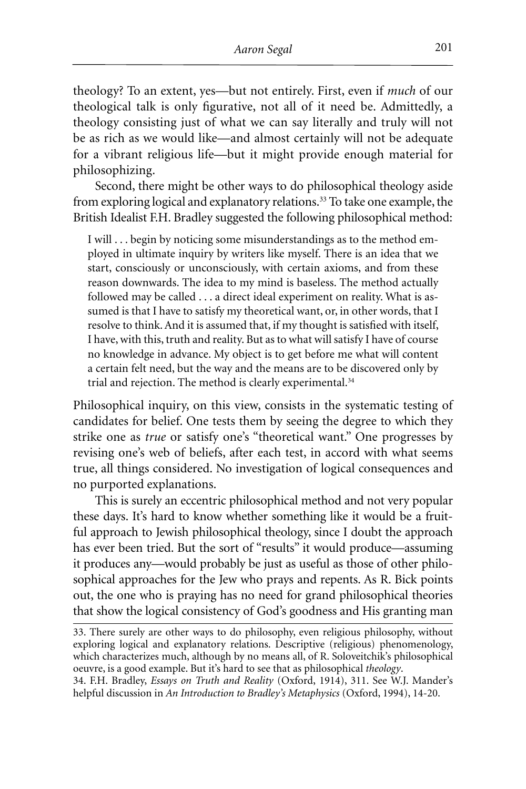theology? To an extent, yes—but not entirely. First, even if *much* of our theological talk is only figurative, not all of it need be. Admittedly, a theology consisting just of what we can say literally and truly will not be as rich as we would like—and almost certainly will not be adequate for a vibrant religious life—but it might provide enough material for philosophizing.

Second, there might be other ways to do philosophical theology aside from exploring logical and explanatory relations.<sup>33</sup> To take one example, the British Idealist F.H. Bradley suggested the following philosophical method:

I will . . . begin by noticing some misunderstandings as to the method employed in ultimate inquiry by writers like myself. There is an idea that we start, consciously or unconsciously, with certain axioms, and from these reason downwards. The idea to my mind is baseless. The method actually followed may be called . . . a direct ideal experiment on reality. What is assumed is that I have to satisfy my theoretical want, or, in other words, that I resolve to think. And it is assumed that, if my thought is satisfied with itself, I have, with this, truth and reality. But as to what will satisfy I have of course no knowledge in advance. My object is to get before me what will content a certain felt need, but the way and the means are to be discovered only by trial and rejection. The method is clearly experimental.<sup>34</sup>

Philosophical inquiry, on this view, consists in the systematic testing of candidates for belief. One tests them by seeing the degree to which they strike one as *true* or satisfy one's "theoretical want." One progresses by revising one's web of beliefs, after each test, in accord with what seems true, all things considered. No investigation of logical consequences and no purported explanations.

This is surely an eccentric philosophical method and not very popular these days. It's hard to know whether something like it would be a fruitful approach to Jewish philosophical theology, since I doubt the approach has ever been tried. But the sort of "results" it would produce—assuming it produces any—would probably be just as useful as those of other philosophical approaches for the Jew who prays and repents. As R. Bick points out, the one who is praying has no need for grand philosophical theories that show the logical consistency of God's goodness and His granting man

<sup>33.</sup> There surely are other ways to do philosophy, even religious philosophy, without exploring logical and explanatory relations. Descriptive (religious) phenomenology, which characterizes much, although by no means all, of R. Soloveitchik's philosophical oeuvre, is a good example. But it's hard to see that as philosophical *theology*.

<sup>34.</sup> F.H. Bradley, *Essays on Truth and Reality* (Oxford, 1914), 311. See W.J. Mander's helpful discussion in *An Introduction to Bradley's Metaphysics* (Oxford, 1994), 14-20.